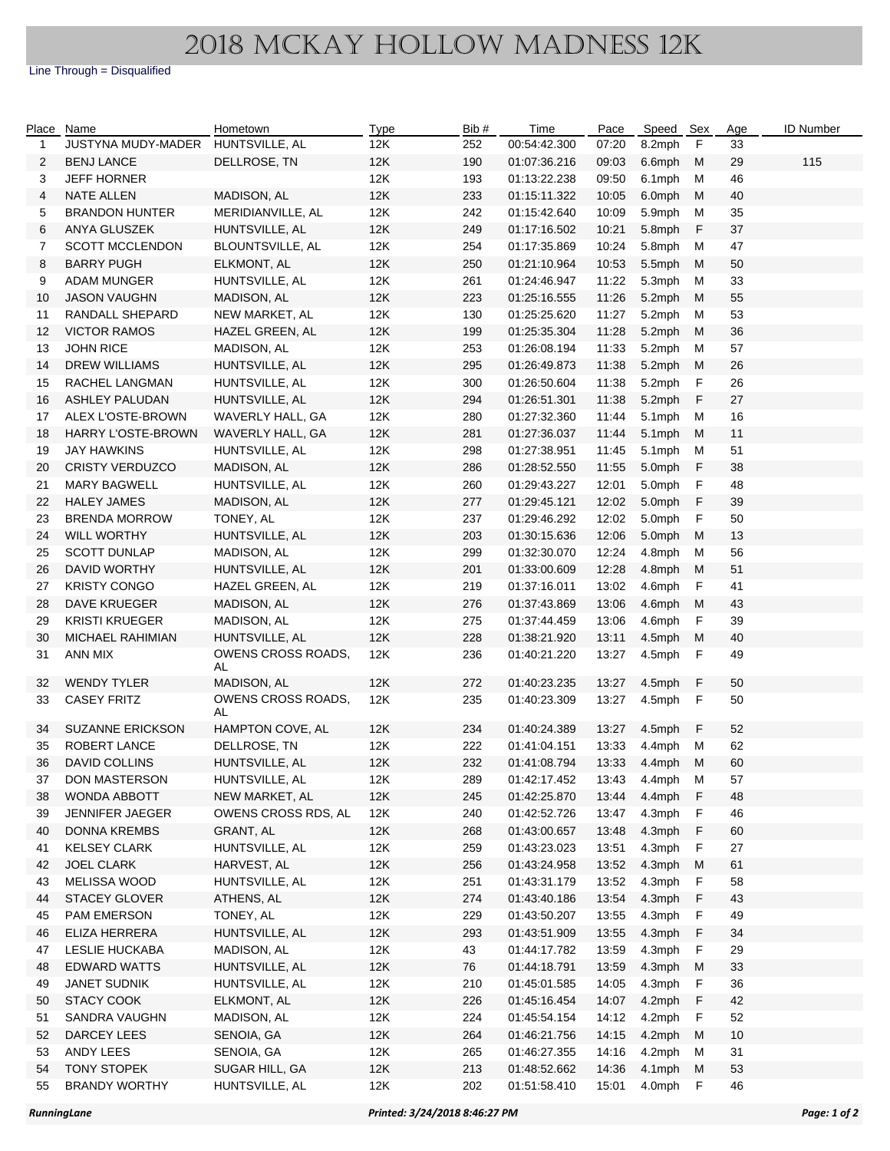Line Through = Disqualified

| Place    | Name                                   | Hometown                         | <b>Type</b> | Bib#       | Time                         | Pace           | Speed Sex        |             | Age      | ID Number |
|----------|----------------------------------------|----------------------------------|-------------|------------|------------------------------|----------------|------------------|-------------|----------|-----------|
| 1        | JUSTYNA MUDY-MADER                     | HUNTSVILLE, AL                   | 12K         | 252        | 00:54:42.300                 | 07:20          | 8.2mph           | F           | 33       |           |
| 2        | <b>BENJ LANCE</b>                      | DELLROSE, TN                     | 12K         | 190        | 01:07:36.216                 | 09:03          | 6.6mph           | M           | 29       | 115       |
| 3        | <b>JEFF HORNER</b>                     |                                  | 12K         | 193        | 01:13:22.238                 | 09:50          | 6.1mph           | м           | 46       |           |
| 4        | NATE ALLEN                             | MADISON, AL                      | 12K         | 233        | 01:15:11.322                 | 10:05          | 6.0mph           | М           | 40       |           |
| 5        | <b>BRANDON HUNTER</b>                  | MERIDIANVILLE, AL                | 12K         | 242        | 01:15:42.640                 | 10:09          | 5.9mph           | м           | 35       |           |
| 6        | ANYA GLUSZEK                           | HUNTSVILLE, AL                   | 12K         | 249        | 01:17:16.502                 | 10:21          | 5.8mph           | F           | 37       |           |
| 7        | <b>SCOTT MCCLENDON</b>                 | BLOUNTSVILLE, AL                 | 12K         | 254        | 01:17:35.869                 | 10:24          | 5.8mph           | М           | 47       |           |
| 8        | <b>BARRY PUGH</b>                      | ELKMONT, AL                      | 12K         | 250        | 01:21:10.964                 | 10:53          | 5.5mph           | М           | 50       |           |
| 9        | ADAM MUNGER                            | HUNTSVILLE, AL                   | 12K         | 261        | 01:24:46.947                 | 11:22          | 5.3mph           | М           | 33       |           |
| 10       | <b>JASON VAUGHN</b>                    | MADISON, AL                      | 12K         | 223        | 01:25:16.555                 | 11:26          | 5.2mph           | м           | 55       |           |
| 11       | RANDALL SHEPARD                        | NEW MARKET, AL                   | 12K         | 130        | 01:25:25.620                 | 11:27          | 5.2mph           | М           | 53       |           |
| 12       | <b>VICTOR RAMOS</b>                    | HAZEL GREEN, AL                  | 12K         | 199        | 01:25:35.304                 | 11:28          | 5.2mph           | м           | 36       |           |
| 13       | <b>JOHN RICE</b>                       | MADISON, AL                      | 12K         | 253        | 01:26:08.194                 | 11:33          | 5.2mph           | м           | 57       |           |
| 14       | <b>DREW WILLIAMS</b>                   | HUNTSVILLE, AL                   | 12K         | 295        | 01:26:49.873                 | 11:38          | 5.2mph           | М           | 26       |           |
| 15       | RACHEL LANGMAN                         | HUNTSVILLE, AL                   | 12K         | 300        | 01:26:50.604                 | 11:38          | 5.2mph           | F           | 26       |           |
| 16       | <b>ASHLEY PALUDAN</b>                  | HUNTSVILLE, AL                   | 12K         | 294        | 01:26:51.301                 | 11:38          | 5.2mph           | F           | 27       |           |
| 17       | ALEX L'OSTE-BROWN                      | WAVERLY HALL, GA                 | 12K         | 280        | 01:27:32.360                 | 11:44          | 5.1mph           | M           | 16       |           |
| 18       | HARRY L'OSTE-BROWN                     | WAVERLY HALL, GA                 | 12K         | 281        | 01:27:36.037                 | 11:44          | 5.1mph           | M           | 11       |           |
| 19       | JAY HAWKINS                            | HUNTSVILLE, AL                   | 12K         | 298        | 01:27:38.951                 | 11:45          | 5.1mph           | M           | 51       |           |
| 20       | <b>CRISTY VERDUZCO</b>                 | MADISON, AL                      | 12K         | 286        | 01:28:52.550                 | 11:55          | 5.0mph           | F           | 38       |           |
| 21       | <b>MARY BAGWELL</b>                    | HUNTSVILLE, AL                   | 12K         | 260        | 01:29:43.227                 | 12:01          | 5.0mph           | F           | 48       |           |
| 22       | <b>HALEY JAMES</b>                     | MADISON, AL                      | 12K         | 277        | 01:29:45.121                 | 12:02          | 5.0mph           | F           | 39       |           |
| 23       | <b>BRENDA MORROW</b>                   | TONEY, AL                        | 12K         | 237        | 01:29:46.292                 | 12:02          | 5.0mph           | F           | 50       |           |
| 24       | <b>WILL WORTHY</b>                     | HUNTSVILLE, AL                   | 12K         | 203        | 01:30:15.636                 | 12:06          | 5.0mph           | М           | 13       |           |
| 25       | <b>SCOTT DUNLAP</b>                    | MADISON, AL                      | 12K         | 299        | 01:32:30.070                 | 12:24          | 4.8mph           | м           | 56       |           |
| 26       | DAVID WORTHY                           | HUNTSVILLE, AL                   | 12K         | 201        | 01:33:00.609                 | 12:28          | 4.8mph           | М           | 51       |           |
| 27       | <b>KRISTY CONGO</b>                    | HAZEL GREEN, AL                  | 12K         | 219        | 01:37:16.011                 | 13:02          | 4.6mph           | F           | 41       |           |
| 28       | DAVE KRUEGER                           | MADISON, AL                      | 12K         | 276        | 01:37:43.869                 | 13:06          | 4.6mph           | M           | 43       |           |
| 29       | <b>KRISTI KRUEGER</b>                  | MADISON, AL                      | 12K         | 275        | 01:37:44.459                 | 13:06          | 4.6mph           | F           | 39       |           |
| 30       | <b>MICHAEL RAHIMIAN</b>                | HUNTSVILLE, AL                   | 12K         | 228        | 01:38:21.920                 | 13:11          | 4.5mph           | М           | 40       |           |
| 31       | ANN MIX                                | <b>OWENS CROSS ROADS,</b><br>AL  | 12K         | 236        | 01:40:21.220                 | 13:27          | 4.5mph           | F           | 49       |           |
| 32       | <b>WENDY TYLER</b>                     | MADISON, AL                      | 12K         | 272        | 01:40:23.235                 | 13:27          | 4.5mph           | $\mathsf F$ | 50       |           |
| 33       | <b>CASEY FRITZ</b>                     | <b>OWENS CROSS ROADS.</b>        | 12K         | 235        | 01:40:23.309                 | 13:27          | 4.5mph           | F           | 50       |           |
|          | <b>SUZANNE ERICKSON</b>                | AL                               |             |            |                              |                |                  |             |          |           |
| 34       |                                        | HAMPTON COVE, AL                 | 12K         | 234        | 01:40:24.389                 | 13:27          | 4.5mph           | F           | 52       |           |
| 35       | ROBERT LANCE                           | DELLROSE, TN                     | 12K         | 222        | 01:41:04.151                 | 13:33          | 4.4mph           | м           | 62       |           |
| 36       | <b>DAVID COLLINS</b>                   | HUNTSVILLE, AL                   | 12K         | 232        | 01:41:08.794                 | 13:33          | 4.4mph           | M           | 60       |           |
| 37       | DON MASTERSON<br><b>WONDA ABBOTT</b>   | HUNTSVILLE, AL<br>NEW MARKET, AL | 12K         | 289        | 01:42:17.452                 | 13:43          | 4.4mph           | M           | 57       |           |
| 38       |                                        | OWENS CROSS RDS, AL              | 12K         | 245        | 01:42:25.870                 | 13:44          | 4.4mph           | F           | 48       |           |
| 39       | JENNIFER JAEGER<br><b>DONNA KREMBS</b> | GRANT, AL                        | 12K<br>12K  | 240<br>268 | 01:42:52.726                 | 13:47          | 4.3mph           | F           | 46       |           |
| 40       | <b>KELSEY CLARK</b>                    |                                  |             |            | 01:43:00.657                 | 13:48          | 4.3mph           | F           | 60<br>27 |           |
| 41       |                                        | HUNTSVILLE, AL                   | 12K         | 259        | 01:43:23.023                 | 13:51          | 4.3mph<br>4.3mph | F           |          |           |
| 42       | JOEL CLARK<br>MELISSA WOOD             | HARVEST, AL<br>HUNTSVILLE, AL    | 12K<br>12K  | 256        | 01:43:24.958                 | 13:52          | 4.3mph           | М<br>F      | 61<br>58 |           |
| 43<br>44 | <b>STACEY GLOVER</b>                   | ATHENS, AL                       |             | 251        | 01:43:31.179                 | 13:52          |                  |             |          |           |
| 45       | PAM EMERSON                            | TONEY, AL                        | 12K<br>12K  | 274<br>229 | 01:43:40.186<br>01:43:50.207 | 13:54<br>13:55 | 4.3mph<br>4.3mph | F<br>F      | 43<br>49 |           |
| 46       | ELIZA HERRERA                          | HUNTSVILLE, AL                   | 12K         | 293        | 01:43:51.909                 | 13:55          | 4.3mph           | F           | 34       |           |
| 47       | LESLIE HUCKABA                         | MADISON, AL                      | 12K         | 43         | 01:44:17.782                 | 13:59          | 4.3mph           | F           | 29       |           |
|          | <b>EDWARD WATTS</b>                    | HUNTSVILLE, AL                   |             |            |                              |                |                  | M           |          |           |
| 48<br>49 | <b>JANET SUDNIK</b>                    | HUNTSVILLE, AL                   | 12K<br>12K  | 76<br>210  | 01:44:18.791<br>01:45:01.585 | 13:59<br>14:05 | 4.3mph<br>4.3mph | F           | 33<br>36 |           |
| 50       | <b>STACY COOK</b>                      | ELKMONT, AL                      | 12K         | 226        | 01:45:16.454                 | 14:07          | 4.2mph           | F           | 42       |           |
| 51       | SANDRA VAUGHN                          | MADISON, AL                      | 12K         | 224        | 01:45:54.154                 | 14:12          | 4.2mph           | -F          | 52       |           |
| 52       | DARCEY LEES                            | SENOIA, GA                       | 12K         | 264        | 01:46:21.756                 | 14:15          | 4.2mph           | M           | 10       |           |
| 53       | ANDY LEES                              | SENOIA, GA                       | 12K         | 265        | 01:46:27.355                 | 14:16          | 4.2mph           | М           | 31       |           |
| 54       | <b>TONY STOPEK</b>                     | SUGAR HILL, GA                   | 12K         | 213        | 01:48:52.662                 | 14:36          | 4.1mph           | М           | 53       |           |
| 55       | <b>BRANDY WORTHY</b>                   | HUNTSVILLE, AL                   | 12K         | 202        | 01:51:58.410                 | 15:01          | 4.0mph           | F           | 46       |           |
|          |                                        |                                  |             |            |                              |                |                  |             |          |           |